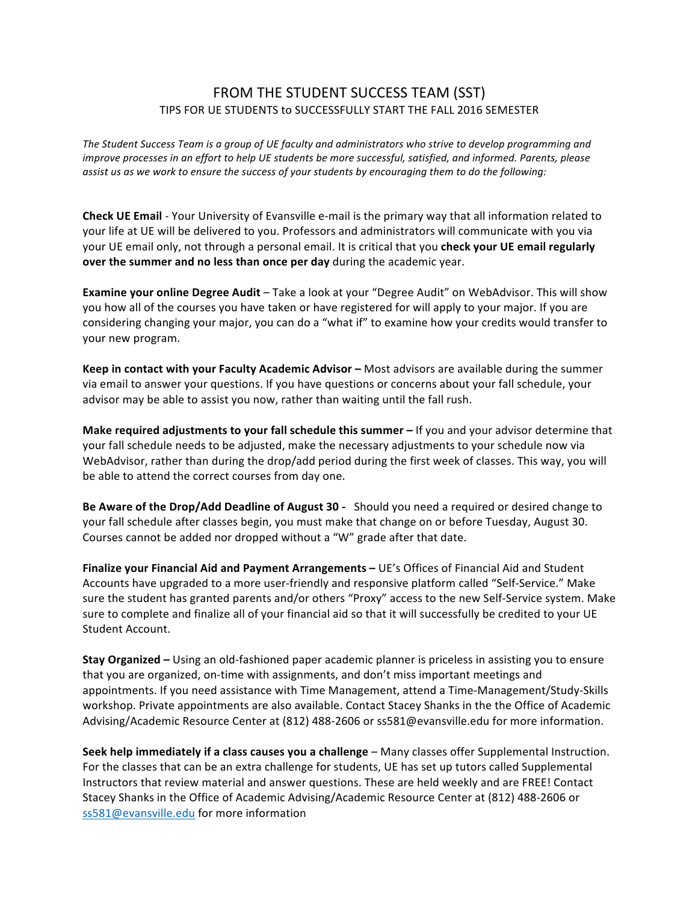## FROM THE STUDENT SUCCESS TEAM (SST) TIPS FOR UE STUDENTS to SUCCESSFULLY START THE FALL 2016 SEMESTER

The Student Success Team is a group of UE faculty and administrators who strive to develop programming and *improve processes in an effort to help UE students be more successful, satisfied, and informed. Parents, please* assist us as we work to ensure the success of your students by encouraging them to do the following:

**Check UE Email** - Your University of Evansville e-mail is the primary way that all information related to your life at UE will be delivered to you. Professors and administrators will communicate with you via your UE email only, not through a personal email. It is critical that you **check your UE email regularly over the summer and no less than once per day** during the academic year.

**Examine your online Degree Audit** – Take a look at your "Degree Audit" on WebAdvisor. This will show you how all of the courses you have taken or have registered for will apply to your major. If you are considering changing your major, you can do a "what if" to examine how your credits would transfer to your new program.

**Keep in contact with your Faculty Academic Advisor –** Most advisors are available during the summer via email to answer your questions. If you have questions or concerns about your fall schedule, your advisor may be able to assist you now, rather than waiting until the fall rush.

**Make required adjustments to your fall schedule this summer** – If you and your advisor determine that your fall schedule needs to be adjusted, make the necessary adjustments to your schedule now via WebAdvisor, rather than during the drop/add period during the first week of classes. This way, you will be able to attend the correct courses from day one.

Be Aware of the Drop/Add Deadline of August 30 - Should you need a required or desired change to your fall schedule after classes begin, you must make that change on or before Tuesday, August 30. Courses cannot be added nor dropped without a "W" grade after that date.

**Finalize your Financial Aid and Payment Arrangements – UE's Offices of Financial Aid and Student** Accounts have upgraded to a more user-friendly and responsive platform called "Self-Service." Make sure the student has granted parents and/or others "Proxy" access to the new Self-Service system. Make sure to complete and finalize all of your financial aid so that it will successfully be credited to your UE Student Account.

**Stay Organized** – Using an old-fashioned paper academic planner is priceless in assisting you to ensure that you are organized, on-time with assignments, and don't miss important meetings and appointments. If you need assistance with Time Management, attend a Time-Management/Study-Skills workshop. Private appointments are also available. Contact Stacey Shanks in the the Office of Academic Advising/Academic Resource Center at (812) 488-2606 or ss581@evansville.edu for more information.

**Seek help immediately if a class causes you a challenge – Many classes offer Supplemental Instruction.** For the classes that can be an extra challenge for students, UE has set up tutors called Supplemental Instructors that review material and answer questions. These are held weekly and are FREE! Contact Stacey Shanks in the Office of Academic Advising/Academic Resource Center at (812) 488-2606 or ss581@evansville.edu for more information